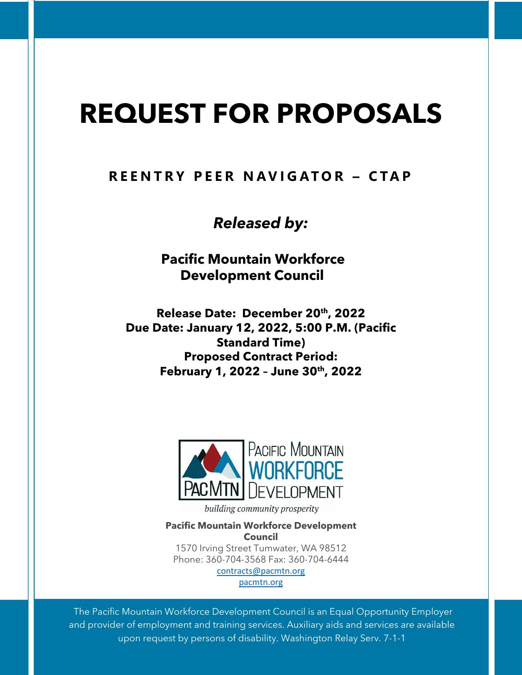# **REQUEST FOR PROPOSALS**

# **REENTRY PEER NAVIGATOR – CTAP**

*Released by:*

**Pacific Mountain Workforce Development Council**

**Release Date: December 20th, 2022 Due Date: January 12, 2022, 5:00 P.M. (Pacific Standard Time) Proposed Contract Period: February 1, 2022 – June 30th, 2022**



building community prosperity

**Pacific Mountain Workforce Development Council**

1570 Irving Street Tumwater, WA 98512 Phone: 360-704-3568 Fax: 360-704-6444 contracts@pacmtn.org

pacmtn.org

The Pacific Mountain Workforce Development Council is an Equal Opportunity Employer and provider of employment and training services. Auxiliary aids and services are available upon request by persons of disability. Washington Relay Serv. 7-1-1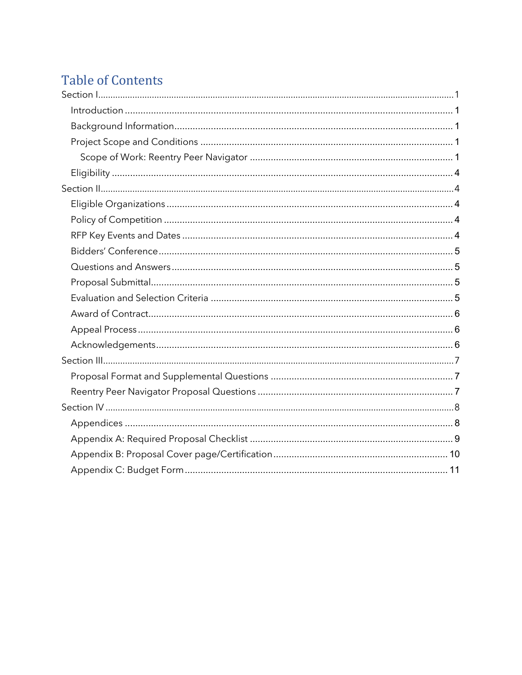# **Table of Contents**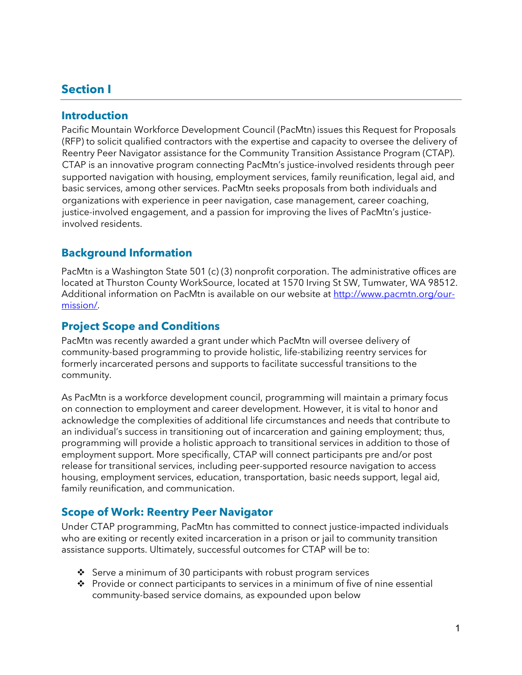## **Section I**

#### **Introduction**

Pacific Mountain Workforce Development Council (PacMtn) issues this Request for Proposals (RFP) to solicit qualified contractors with the expertise and capacity to oversee the delivery of Reentry Peer Navigator assistance for the Community Transition Assistance Program (CTAP). CTAP is an innovative program connecting PacMtn's justice-involved residents through peer supported navigation with housing, employment services, family reunification, legal aid, and basic services, among other services. PacMtn seeks proposals from both individuals and organizations with experience in peer navigation, case management, career coaching, justice-involved engagement, and a passion for improving the lives of PacMtn's justiceinvolved residents.

## **Background Information**

PacMtn is a Washington State 501 (c) (3) nonprofit corporation. The administrative offices are located at Thurston County WorkSource, located at 1570 Irving St SW, Tumwater, WA 98512. Additional information on PacMtn is available on our website at http://www.pacmtn.org/ourmission/.

#### **Project Scope and Conditions**

PacMtn was recently awarded a grant under which PacMtn will oversee delivery of community-based programming to provide holistic, life-stabilizing reentry services for formerly incarcerated persons and supports to facilitate successful transitions to the community.

As PacMtn is a workforce development council, programming will maintain a primary focus on connection to employment and career development. However, it is vital to honor and acknowledge the complexities of additional life circumstances and needs that contribute to an individual's success in transitioning out of incarceration and gaining employment; thus, programming will provide a holistic approach to transitional services in addition to those of employment support. More specifically, CTAP will connect participants pre and/or post release for transitional services, including peer-supported resource navigation to access housing, employment services, education, transportation, basic needs support, legal aid, family reunification, and communication.

#### **Scope of Work: Reentry Peer Navigator**

Under CTAP programming, PacMtn has committed to connect justice-impacted individuals who are exiting or recently exited incarceration in a prison or jail to community transition assistance supports. Ultimately, successful outcomes for CTAP will be to:

- $\cdot$  Serve a minimum of 30 participants with robust program services
- $\cdot \cdot$  Provide or connect participants to services in a minimum of five of nine essential community-based service domains, as expounded upon below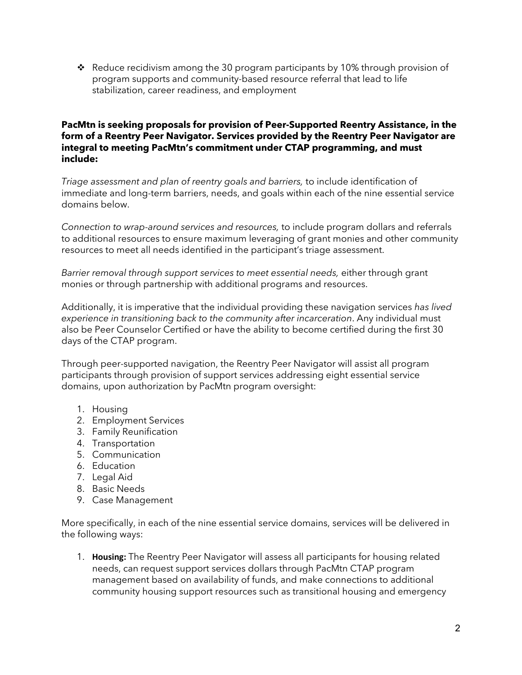\* Reduce recidivism among the 30 program participants by 10% through provision of program supports and community-based resource referral that lead to life stabilization, career readiness, and employment

#### **PacMtn is seeking proposals for provision of Peer-Supported Reentry Assistance, in the form of a Reentry Peer Navigator. Services provided by the Reentry Peer Navigator are integral to meeting PacMtn's commitment under CTAP programming, and must include:**

*Triage assessment and plan of reentry goals and barriers,* to include identification of immediate and long-term barriers, needs, and goals within each of the nine essential service domains below.

*Connection to wrap-around services and resources,* to include program dollars and referrals to additional resources to ensure maximum leveraging of grant monies and other community resources to meet all needs identified in the participant's triage assessment.

*Barrier removal through support services to meet essential needs,* either through grant monies or through partnership with additional programs and resources.

Additionally, it is imperative that the individual providing these navigation services *has lived experience in transitioning back to the community after incarceration*. Any individual must also be Peer Counselor Certified or have the ability to become certified during the first 30 days of the CTAP program.

Through peer-supported navigation, the Reentry Peer Navigator will assist all program participants through provision of support services addressing eight essential service domains, upon authorization by PacMtn program oversight:

- 1. Housing
- 2. Employment Services
- 3. Family Reunification
- 4. Transportation
- 5. Communication
- 6. Education
- 7. Legal Aid
- 8. Basic Needs
- 9. Case Management

More specifically, in each of the nine essential service domains, services will be delivered in the following ways:

1. **Housing:** The Reentry Peer Navigator will assess all participants for housing related needs, can request support services dollars through PacMtn CTAP program management based on availability of funds, and make connections to additional community housing support resources such as transitional housing and emergency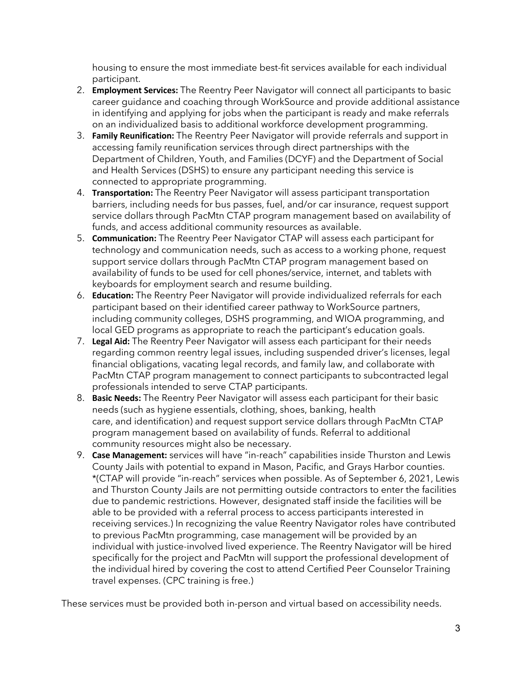housing to ensure the most immediate best-fit services available for each individual participant.

- 2. **Employment Services:** The Reentry Peer Navigator will connect all participants to basic career guidance and coaching through WorkSource and provide additional assistance in identifying and applying for jobs when the participant is ready and make referrals on an individualized basis to additional workforce development programming.
- 3. **Family Reunification:** The Reentry Peer Navigator will provide referrals and support in accessing family reunification services through direct partnerships with the Department of Children, Youth, and Families (DCYF) and the Department of Social and Health Services (DSHS) to ensure any participant needing this service is connected to appropriate programming.
- 4. **Transportation:** The Reentry Peer Navigator will assess participant transportation barriers, including needs for bus passes, fuel, and/or car insurance, request support service dollars through PacMtn CTAP program management based on availability of funds, and access additional community resources as available.
- 5. **Communication:** The Reentry Peer Navigator CTAP will assess each participant for technology and communication needs, such as access to a working phone, request support service dollars through PacMtn CTAP program management based on availability of funds to be used for cell phones/service, internet, and tablets with keyboards for employment search and resume building.
- 6. **Education:** The Reentry Peer Navigator will provide individualized referrals for each participant based on their identified career pathway to WorkSource partners, including community colleges, DSHS programming, and WIOA programming, and local GED programs as appropriate to reach the participant's education goals.
- 7. **Legal Aid:** The Reentry Peer Navigator will assess each participant for their needs regarding common reentry legal issues, including suspended driver's licenses, legal financial obligations, vacating legal records, and family law, and collaborate with PacMtn CTAP program management to connect participants to subcontracted legal professionals intended to serve CTAP participants.
- 8. **Basic Needs:** The Reentry Peer Navigator will assess each participant for their basic needs (such as hygiene essentials, clothing, shoes, banking, health care, and identification) and request support service dollars through PacMtn CTAP program management based on availability of funds. Referral to additional community resources might also be necessary.
- 9. **Case Management:** services will have "in-reach" capabilities inside Thurston and Lewis County Jails with potential to expand in Mason, Pacific, and Grays Harbor counties. \*(CTAP will provide "in-reach" services when possible. As of September 6, 2021, Lewis and Thurston County Jails are not permitting outside contractors to enter the facilities due to pandemic restrictions. However, designated staff inside the facilities will be able to be provided with a referral process to access participants interested in receiving services.) In recognizing the value Reentry Navigator roles have contributed to previous PacMtn programming, case management will be provided by an individual with justice-involved lived experience. The Reentry Navigator will be hired specifically for the project and PacMtn will support the professional development of the individual hired by covering the cost to attend Certified Peer Counselor Training travel expenses. (CPC training is free.)

These services must be provided both in-person and virtual based on accessibility needs.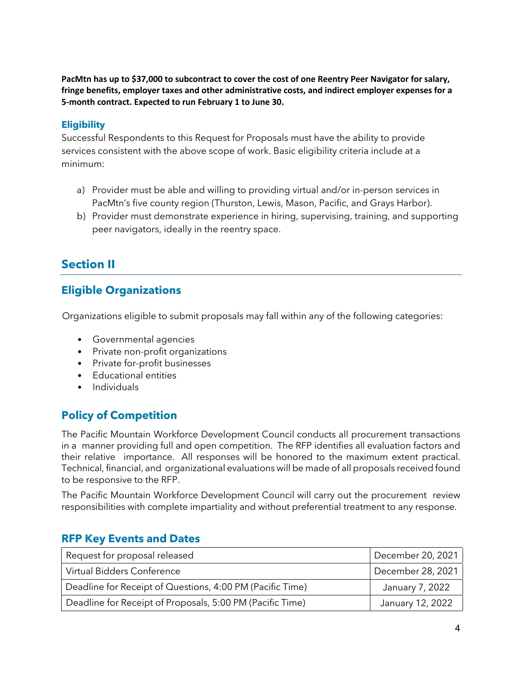**PacMtn has up to \$37,000 to subcontract to cover the cost of one Reentry Peer Navigator for salary, fringe benefits, employer taxes and other administrative costs, and indirect employer expenses for a 5-month contract. Expected to run February 1 to June 30.** 

#### **Eligibility**

Successful Respondents to this Request for Proposals must have the ability to provide services consistent with the above scope of work. Basic eligibility criteria include at a minimum:

- a) Provider must be able and willing to providing virtual and/or in-person services in PacMtn's five county region (Thurston, Lewis, Mason, Pacific, and Grays Harbor).
- b) Provider must demonstrate experience in hiring, supervising, training, and supporting peer navigators, ideally in the reentry space.

# **Section II**

## **Eligible Organizations**

Organizations eligible to submit proposals may fall within any of the following categories:

- Governmental agencies
- Private non-profit organizations
- Private for-profit businesses
- Educational entities
- Individuals

## **Policy of Competition**

The Pacific Mountain Workforce Development Council conducts all procurement transactions in a manner providing full and open competition. The RFP identifies all evaluation factors and their relative importance. All responses will be honored to the maximum extent practical. Technical, financial, and organizational evaluations will be made of all proposals received found to be responsive to the RFP.

The Pacific Mountain Workforce Development Council will carry out the procurement review responsibilities with complete impartiality and without preferential treatment to any response.

| Request for proposal released                             | December 20, 2021 |
|-----------------------------------------------------------|-------------------|
| Virtual Bidders Conference                                | December 28, 2021 |
| Deadline for Receipt of Questions, 4:00 PM (Pacific Time) | January 7, 2022   |
| Deadline for Receipt of Proposals, 5:00 PM (Pacific Time) | January 12, 2022  |

#### **RFP Key Events and Dates**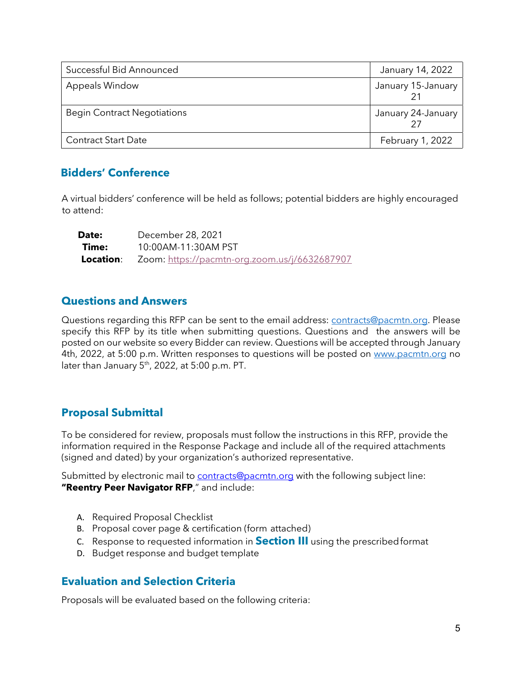| Successful Bid Announced           | January 14, 2022   |
|------------------------------------|--------------------|
| Appeals Window                     | January 15-January |
| <b>Begin Contract Negotiations</b> | January 24-January |
| <b>Contract Start Date</b>         | February 1, 2022   |

### **Bidders' Conference**

A virtual bidders' conference will be held as follows; potential bidders are highly encouraged to attend:

| Date: | December 28, 2021                                       |
|-------|---------------------------------------------------------|
| Time: | 10:00AM-11:30AM PST                                     |
|       | Location: Zoom: https://pacmtn-org.zoom.us/j/6632687907 |

#### **Questions and Answers**

Questions regarding this RFP can be sent to the email address: contracts@pacmtn.org. Please specify this RFP by its title when submitting questions. Questions and the answers will be posted on our website so every Bidder can review. Questions will be accepted through January 4th, 2022, at 5:00 p.m. Written responses to questions will be posted on www.pacmtn.org no later than January 5<sup>th</sup>, 2022, at 5:00 p.m. PT.

### **Proposal Submittal**

To be considered for review, proposals must follow the instructions in this RFP, provide the information required in the Response Package and include all of the required attachments (signed and dated) by your organization's authorized representative.

Submitted by electronic mail to contracts@pacmtn.org with the following subject line: **"Reentry Peer Navigator RFP**," and include:

- A. Required Proposal Checklist
- B. Proposal cover page & certification (form attached)
- C. Response to requested information in **Section III** using the prescribedformat
- D. Budget response and budget template

### **Evaluation and Selection Criteria**

Proposals will be evaluated based on the following criteria: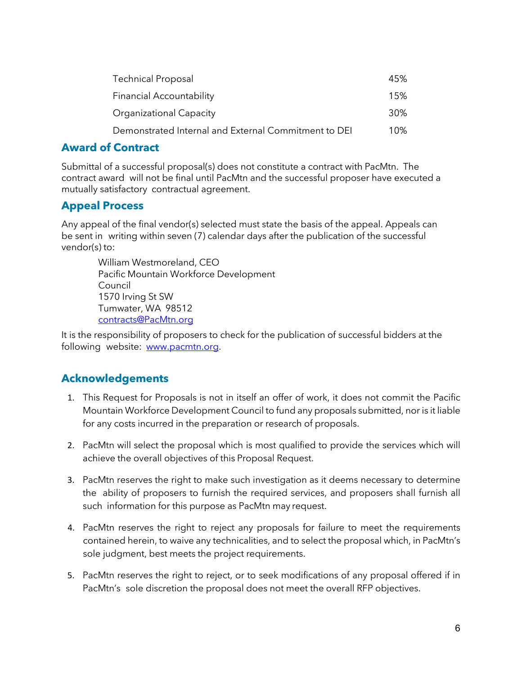| <b>Technical Proposal</b>                            | 45% |
|------------------------------------------------------|-----|
| <b>Financial Accountability</b>                      | 15% |
| <b>Organizational Capacity</b>                       | 30% |
| Demonstrated Internal and External Commitment to DEI | 10% |

## **Award of Contract**

Submittal of a successful proposal(s) does not constitute a contract with PacMtn. The contract award will not be final until PacMtn and the successful proposer have executed a mutually satisfactory contractual agreement.

## **Appeal Process**

Any appeal of the final vendor(s) selected must state the basis of the appeal. Appeals can be sent in writing within seven (7) calendar days after the publication of the successful vendor(s) to:

William Westmoreland, CEO Pacific Mountain Workforce Development Council 1570 Irving St SW Tumwater, WA 98512 contracts@PacMtn.org

It is the responsibility of proposers to check for the publication of successful bidders at the following website: www.pacmtn.org.

## **Acknowledgements**

- 1. This Request for Proposals is not in itself an offer of work, it does not commit the Pacific Mountain Workforce Development Council to fund any proposals submitted, nor is it liable for any costs incurred in the preparation or research of proposals.
- 2. PacMtn will select the proposal which is most qualified to provide the services which will achieve the overall objectives of this Proposal Request.
- 3. PacMtn reserves the right to make such investigation as it deems necessary to determine the ability of proposers to furnish the required services, and proposers shall furnish all such information for this purpose as PacMtn may request.
- 4. PacMtn reserves the right to reject any proposals for failure to meet the requirements contained herein, to waive any technicalities, and to select the proposal which, in PacMtn's sole judgment, best meets the project requirements.
- 5. PacMtn reserves the right to reject, or to seek modifications of any proposal offered if in PacMtn's sole discretion the proposal does not meet the overall RFP objectives.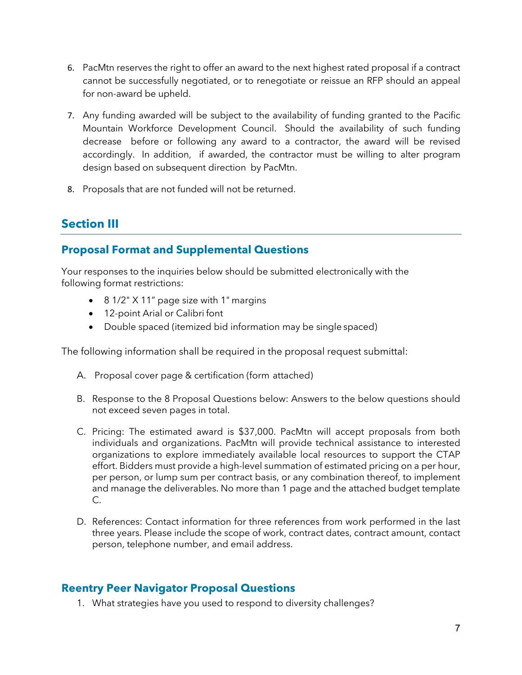- 6. PacMtn reserves the right to offer an award to the next highest rated proposal if a contract cannot be successfully negotiated, or to renegotiate or reissue an RFP should an appeal for non-award be upheld.
- 7. Any funding awarded will be subject to the availability of funding granted to the Pacific Mountain Workforce Development Council. Should the availability of such funding decrease before or following any award to a contractor, the award will be revised accordingly. In addition, if awarded, the contractor must be willing to alter program design based on subsequent direction by PacMtn.
- 8. Proposals that are not funded will not be returned.

# **Section III**

## **Proposal Format and Supplemental Questions**

Your responses to the inquiries below should be submitted electronically with the following format restrictions:

- 8 1/2" X 11" page size with 1" margins
- 12-point Arial or Calibri font
- Double spaced (itemized bid information may be single spaced)

The following information shall be required in the proposal request submittal:

- A. Proposal cover page & certification (form attached)
- B. Response to the 8 Proposal Questions below: Answers to the below questions should not exceed seven pages in total.
- C. Pricing: The estimated award is \$37,000. PacMtn will accept proposals from both individuals and organizations. PacMtn will provide technical assistance to interested organizations to explore immediately available local resources to support the CTAP effort. Bidders must provide a high-level summation of estimated pricing on a per hour, per person, or lump sum per contract basis, or any combination thereof, to implement and manage the deliverables. No more than 1 page and the attached budget template C.
- D. References: Contact information for three references from work performed in the last three years. Please include the scope of work, contract dates, contract amount, contact person, telephone number, and email address.

### **Reentry Peer Navigator Proposal Questions**

1. What strategies have you used to respond to diversity challenges?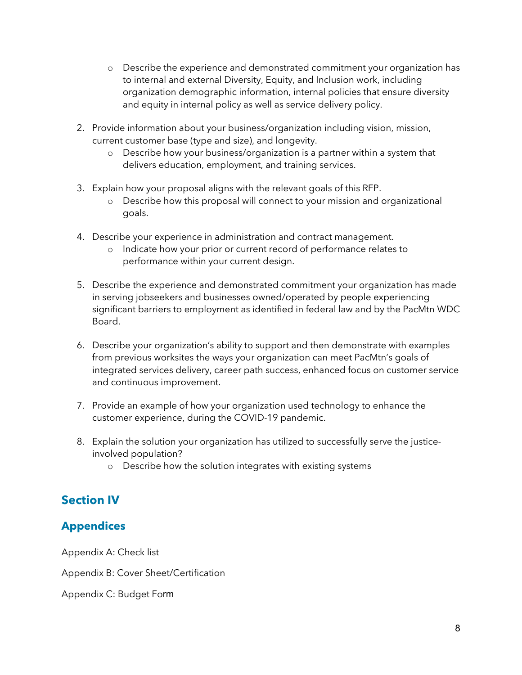- o Describe the experience and demonstrated commitment your organization has to internal and external Diversity, Equity, and Inclusion work, including organization demographic information, internal policies that ensure diversity and equity in internal policy as well as service delivery policy.
- 2. Provide information about your business/organization including vision, mission, current customer base (type and size), and longevity.
	- o Describe how your business/organization is a partner within a system that delivers education, employment, and training services.
- 3. Explain how your proposal aligns with the relevant goals of this RFP.
	- o Describe how this proposal will connect to your mission and organizational goals.
- 4. Describe your experience in administration and contract management.
	- o Indicate how your prior or current record of performance relates to performance within your current design.
- 5. Describe the experience and demonstrated commitment your organization has made in serving jobseekers and businesses owned/operated by people experiencing significant barriers to employment as identified in federal law and by the PacMtn WDC Board.
- 6. Describe your organization's ability to support and then demonstrate with examples from previous worksites the ways your organization can meet PacMtn's goals of integrated services delivery, career path success, enhanced focus on customer service and continuous improvement.
- 7. Provide an example of how your organization used technology to enhance the customer experience, during the COVID-19 pandemic.
- 8. Explain the solution your organization has utilized to successfully serve the justiceinvolved population?
	- o Describe how the solution integrates with existing systems

# **Section IV**

# **Appendices**

Appendix A: Check list

Appendix B: Cover Sheet/Certification

Appendix C: Budget Form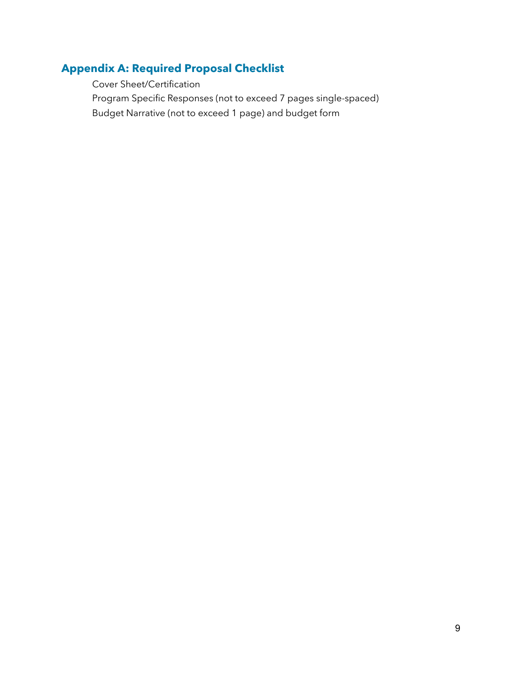# **Appendix A: Required Proposal Checklist**

 Cover Sheet/Certification Program Specific Responses (not to exceed 7 pages single-spaced) Budget Narrative (not to exceed 1 page) and budget form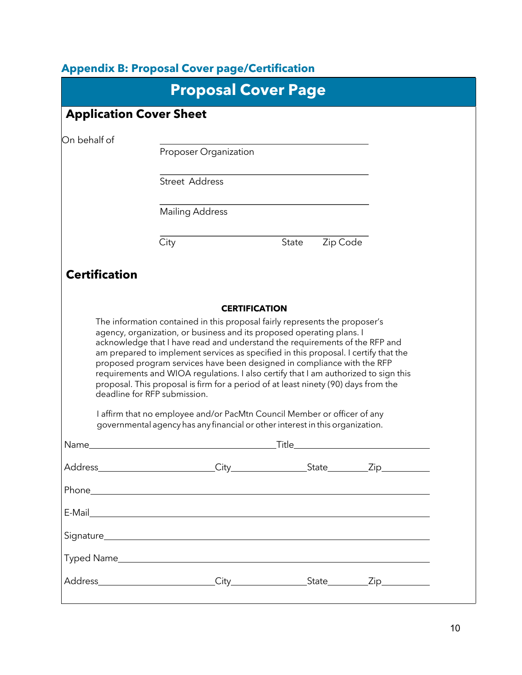# **Appendix B: Proposal Cover page/Certification**

|                      |                                                                                                                                                                                                                                                                                                                                                                                                                             | <b>Proposal Cover Page</b> |          |  |
|----------------------|-----------------------------------------------------------------------------------------------------------------------------------------------------------------------------------------------------------------------------------------------------------------------------------------------------------------------------------------------------------------------------------------------------------------------------|----------------------------|----------|--|
|                      | <b>Application Cover Sheet</b>                                                                                                                                                                                                                                                                                                                                                                                              |                            |          |  |
| On behalf of         | Proposer Organization                                                                                                                                                                                                                                                                                                                                                                                                       |                            |          |  |
|                      | <b>Street Address</b>                                                                                                                                                                                                                                                                                                                                                                                                       |                            |          |  |
|                      | <b>Mailing Address</b>                                                                                                                                                                                                                                                                                                                                                                                                      |                            |          |  |
|                      | City                                                                                                                                                                                                                                                                                                                                                                                                                        | State                      | Zip Code |  |
| <b>Certification</b> |                                                                                                                                                                                                                                                                                                                                                                                                                             |                            |          |  |
|                      | The information contained in this proposal fairly represents the proposer's<br>agency, organization, or business and its proposed operating plans. I<br>acknowledge that I have read and understand the requirements of the RFP and<br>am prepared to implement services as specified in this proposal. I certify that the<br>proposed program services have been designed in compliance with the RFP                       | <b>CERTIFICATION</b>       |          |  |
| Name                 | requirements and WIOA regulations. I also certify that I am authorized to sign this<br>proposal. This proposal is firm for a period of at least ninety (90) days from the<br>deadline for RFP submission.<br>I affirm that no employee and/or PacMtn Council Member or officer of any<br>governmental agency has any financial or other interest in this organization.<br><u> 1989 - John Stein, amerikansk politiker (</u> | _Title_                    |          |  |
|                      | Address City City State Zip                                                                                                                                                                                                                                                                                                                                                                                                 |                            |          |  |
|                      |                                                                                                                                                                                                                                                                                                                                                                                                                             |                            |          |  |
|                      |                                                                                                                                                                                                                                                                                                                                                                                                                             |                            |          |  |
|                      |                                                                                                                                                                                                                                                                                                                                                                                                                             |                            |          |  |
|                      |                                                                                                                                                                                                                                                                                                                                                                                                                             |                            |          |  |